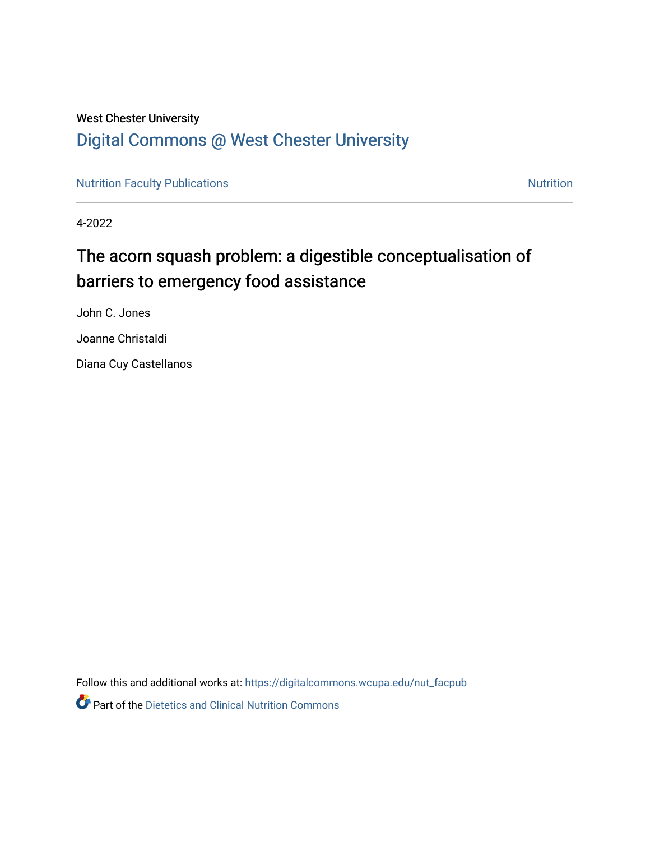## West Chester University [Digital Commons @ West Chester University](https://digitalcommons.wcupa.edu/)

[Nutrition Faculty Publications](https://digitalcommons.wcupa.edu/nut_facpub) [Nutrition](https://digitalcommons.wcupa.edu/nut) Nutrition

4-2022

# The acorn squash problem: a digestible conceptualisation of barriers to emergency food assistance

John C. Jones Joanne Christaldi

Diana Cuy Castellanos

Follow this and additional works at: [https://digitalcommons.wcupa.edu/nut\\_facpub](https://digitalcommons.wcupa.edu/nut_facpub?utm_source=digitalcommons.wcupa.edu%2Fnut_facpub%2F6&utm_medium=PDF&utm_campaign=PDFCoverPages)

**Part of the Dietetics and Clinical Nutrition Commons**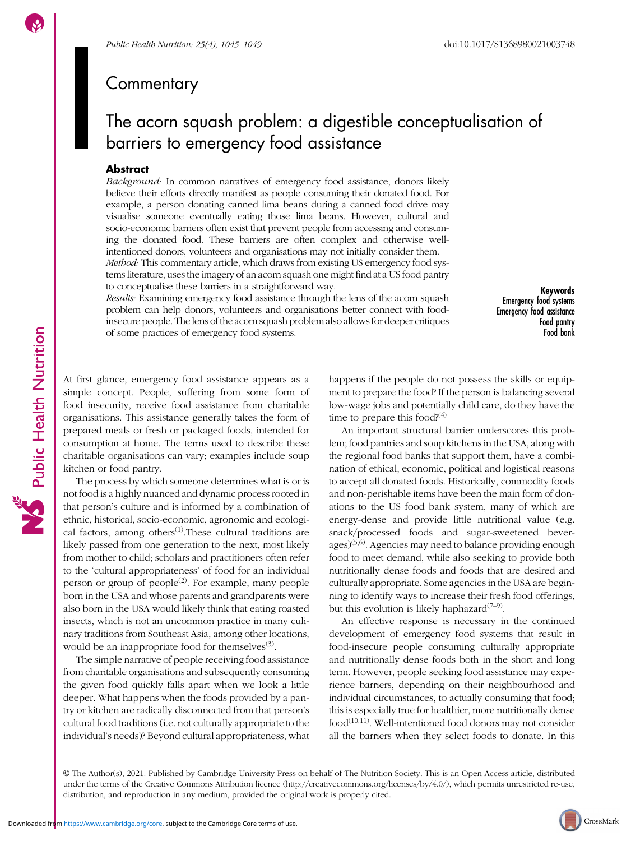Public Health Nutrition

### **Commentary**

## The acorn squash problem: a digestible conceptualisation of barriers to emergency food assistance

#### **Abstract**

Background: In common narratives of emergency food assistance, donors likely believe their efforts directly manifest as people consuming their donated food. For example, a person donating canned lima beans during a canned food drive may visualise someone eventually eating those lima beans. However, cultural and socio-economic barriers often exist that prevent people from accessing and consuming the donated food. These barriers are often complex and otherwise wellintentioned donors, volunteers and organisations may not initially consider them. Method: This commentary article, which draws from existing US emergency food systems literature, uses the imagery of an acorn squash one might find at a US food pantry to conceptualise these barriers in a straightforward way.

Results: Examining emergency food assistance through the lens of the acorn squash problem can help donors, volunteers and organisations better connect with foodinsecure people. The lens of the acorn squash problem also allows for deeper critiques of some practices of emergency food systems.

Keywords Emergency food systems Emergency food assistance Food pantry Food bank

At first glance, emergency food assistance appears as a simple concept. People, suffering from some form of food insecurity, receive food assistance from charitable organisations. This assistance generally takes the form of prepared meals or fresh or packaged foods, intended for consumption at home. The terms used to describe these charitable organisations can vary; examples include soup kitchen or food pantry.

The process by which someone determines what is or is not food is a highly nuanced and dynamic process rooted in that person's culture and is informed by a combination of ethnic, historical, socio-economic, agronomic and ecological factors, among others<sup> $(1)$  $(1)$ </sup>. These cultural traditions are likely passed from one generation to the next, most likely from mother to child; scholars and practitioners often refer to the 'cultural appropriateness' of food for an individual person or group of people<sup> $(2)$  $(2)$  $(2)$ </sup>. For example, many people born in the USA and whose parents and grandparents were also born in the USA would likely think that eating roasted insects, which is not an uncommon practice in many culinary traditions from Southeast Asia, among other locations, would be an inappropriate food for themselves $(3)$  $(3)$ .

The simple narrative of people receiving food assistance from charitable organisations and subsequently consuming the given food quickly falls apart when we look a little deeper. What happens when the foods provided by a pantry or kitchen are radically disconnected from that person's cultural food traditions (i.e. not culturally appropriate to the individual's needs)? Beyond cultural appropriateness, what happens if the people do not possess the skills or equipment to prepare the food? If the person is balancing several low-wage jobs and potentially child care, do they have the time to prepare this food? $(4)$  $(4)$ 

An important structural barrier underscores this problem; food pantries and soup kitchens in the USA, along with the regional food banks that support them, have a combination of ethical, economic, political and logistical reasons to accept all donated foods. Historically, commodity foods and non-perishable items have been the main form of donations to the US food bank system, many of which are energy-dense and provide little nutritional value (e.g. snack/processed foods and sugar-sweetened bever- $\text{ages}$ <sup>[\(5,6](#page-4-0))</sup>. Agencies may need to balance providing enough food to meet demand, while also seeking to provide both nutritionally dense foods and foods that are desired and culturally appropriate. Some agencies in the USA are beginning to identify ways to increase their fresh food offerings, but this evolution is likely haphazard<sup> $(7-9)$  $(7-9)$  $(7-9)$  $(7-9)$ </sup>.

An effective response is necessary in the continued development of emergency food systems that result in food-insecure people consuming culturally appropriate and nutritionally dense foods both in the short and long term. However, people seeking food assistance may experience barriers, depending on their neighbourhood and individual circumstances, to actually consuming that food; this is especially true for healthier, more nutritionally dense  $food<sup>(10,11)</sup>$  $food<sup>(10,11)</sup>$  $food<sup>(10,11)</sup>$  $food<sup>(10,11)</sup>$  $food<sup>(10,11)</sup>$ . Well-intentioned food donors may not consider all the barriers when they select foods to donate. In this

© The Author(s), 2021. Published by Cambridge University Press on behalf of The Nutrition Society. This is an Open Access article, distributed under the terms of the Creative Commons Attribution licence (<http://creativecommons.org/licenses/by/4.0/>), which permits unrestricted re-use, distribution, and reproduction in any medium, provided the original work is properly cited.

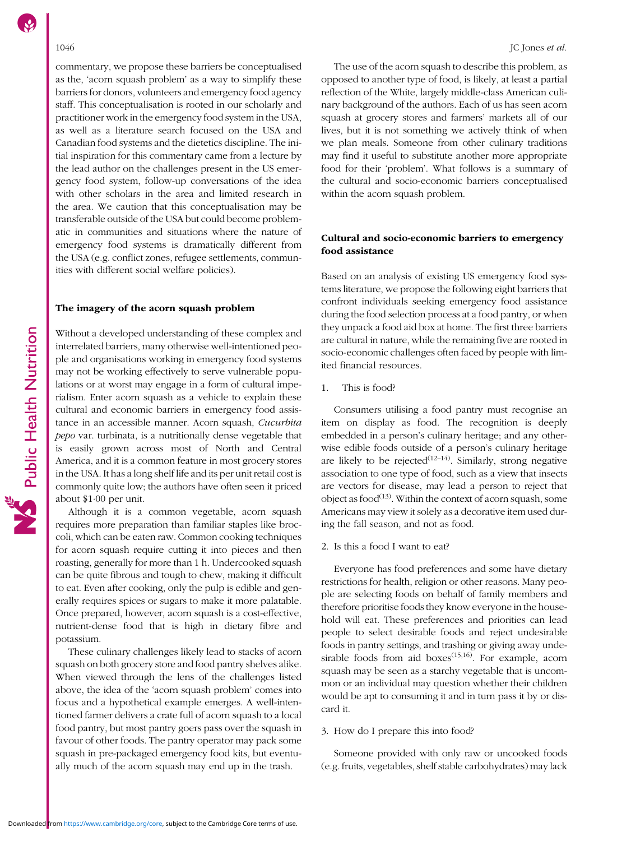commentary, we propose these barriers be conceptualised as the, 'acorn squash problem' as a way to simplify these barriers for donors, volunteers and emergency food agency staff. This conceptualisation is rooted in our scholarly and practitioner work in the emergency food system in the USA, as well as a literature search focused on the USA and Canadian food systems and the dietetics discipline. The initial inspiration for this commentary came from a lecture by the lead author on the challenges present in the US emergency food system, follow-up conversations of the idea with other scholars in the area and limited research in the area. We caution that this conceptualisation may be transferable outside of the USA but could become problematic in communities and situations where the nature of emergency food systems is dramatically different from the USA (e.g. conflict zones, refugee settlements, communities with different social welfare policies).

#### The imagery of the acorn squash problem

Without a developed understanding of these complex and interrelated barriers, many otherwise well-intentioned people and organisations working in emergency food systems may not be working effectively to serve vulnerable populations or at worst may engage in a form of cultural imperialism. Enter acorn squash as a vehicle to explain these cultural and economic barriers in emergency food assistance in an accessible manner. Acorn squash, Cucurbita pepo var. turbinata, is a nutritionally dense vegetable that is easily grown across most of North and Central America, and it is a common feature in most grocery stores in the USA. It has a long shelf life and its per unit retail cost is commonly quite low; the authors have often seen it priced about \$1·00 per unit.

Although it is a common vegetable, acorn squash requires more preparation than familiar staples like broccoli, which can be eaten raw. Common cooking techniques for acorn squash require cutting it into pieces and then roasting, generally for more than 1 h. Undercooked squash can be quite fibrous and tough to chew, making it difficult to eat. Even after cooking, only the pulp is edible and generally requires spices or sugars to make it more palatable. Once prepared, however, acorn squash is a cost-effective, nutrient-dense food that is high in dietary fibre and potassium.

These culinary challenges likely lead to stacks of acorn squash on both grocery store and food pantry shelves alike. When viewed through the lens of the challenges listed above, the idea of the 'acorn squash problem' comes into focus and a hypothetical example emerges. A well-intentioned farmer delivers a crate full of acorn squash to a local food pantry, but most pantry goers pass over the squash in favour of other foods. The pantry operator may pack some squash in pre-packaged emergency food kits, but eventually much of the acorn squash may end up in the trash.

The use of the acorn squash to describe this problem, as opposed to another type of food, is likely, at least a partial reflection of the White, largely middle-class American culinary background of the authors. Each of us has seen acorn squash at grocery stores and farmers' markets all of our lives, but it is not something we actively think of when we plan meals. Someone from other culinary traditions may find it useful to substitute another more appropriate food for their 'problem'. What follows is a summary of the cultural and socio-economic barriers conceptualised within the acorn squash problem.

### Cultural and socio-economic barriers to emergency food assistance

Based on an analysis of existing US emergency food systems literature, we propose the following eight barriers that confront individuals seeking emergency food assistance during the food selection process at a food pantry, or when they unpack a food aid box at home. The first three barriers are cultural in nature, while the remaining five are rooted in socio-economic challenges often faced by people with limited financial resources.

1. This is food?

Consumers utilising a food pantry must recognise an item on display as food. The recognition is deeply embedded in a person's culinary heritage; and any otherwise edible foods outside of a person's culinary heritage are likely to be rejected<sup>[\(12](#page-4-0)–[14\)](#page-4-0)</sup>. Similarly, strong negative association to one type of food, such as a view that insects are vectors for disease, may lead a person to reject that object as food $^{(13)}$  $^{(13)}$  $^{(13)}$ . Within the context of acorn squash, some Americans may view it solely as a decorative item used during the fall season, and not as food.

2. Is this a food I want to eat?

Everyone has food preferences and some have dietary restrictions for health, religion or other reasons. Many people are selecting foods on behalf of family members and therefore prioritise foods they know everyone in the household will eat. These preferences and priorities can lead people to select desirable foods and reject undesirable foods in pantry settings, and trashing or giving away undesirable foods from aid boxes<sup> $(15,16)$  $(15,16)$  $(15,16)$  $(15,16)$ </sup>. For example, acorn squash may be seen as a starchy vegetable that is uncommon or an individual may question whether their children would be apt to consuming it and in turn pass it by or discard it.

### 3. How do I prepare this into food?

Someone provided with only raw or uncooked foods (e.g. fruits, vegetables, shelf stable carbohydrates) may lack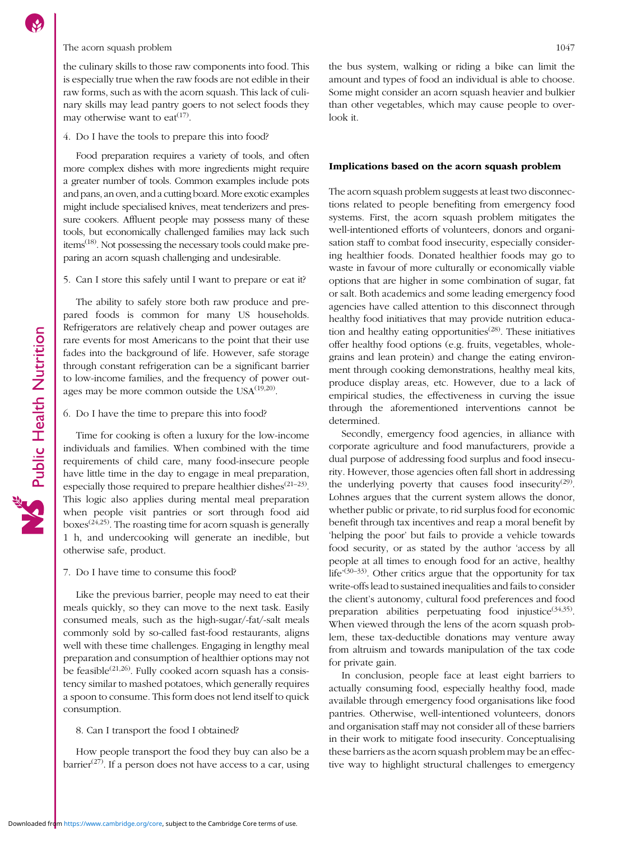#### The acorn squash problem 1047

the culinary skills to those raw components into food. This is especially true when the raw foods are not edible in their raw forms, such as with the acorn squash. This lack of culinary skills may lead pantry goers to not select foods they may otherwise want to eat<sup> $(17)$ </sup>.

#### 4. Do I have the tools to prepare this into food?

Food preparation requires a variety of tools, and often more complex dishes with more ingredients might require a greater number of tools. Common examples include pots and pans, an oven, and a cutting board. More exotic examples might include specialised knives, meat tenderizers and pressure cookers. Affluent people may possess many of these tools, but economically challenged families may lack such items[\(18\)](#page-4-0). Not possessing the necessary tools could make preparing an acorn squash challenging and undesirable.

#### 5. Can I store this safely until I want to prepare or eat it?

The ability to safely store both raw produce and prepared foods is common for many US households. Refrigerators are relatively cheap and power outages are rare events for most Americans to the point that their use fades into the background of life. However, safe storage through constant refrigeration can be a significant barrier to low-income families, and the frequency of power outages may be more common outside the  $USA^{(19,20)}$  $USA^{(19,20)}$  $USA^{(19,20)}$  $USA^{(19,20)}$  $USA^{(19,20)}$ .

#### 6. Do I have the time to prepare this into food?

Public Health Nutrition

Time for cooking is often a luxury for the low-income individuals and families. When combined with the time requirements of child care, many food-insecure people have little time in the day to engage in meal preparation, especially those required to prepare healthier dishes<sup>([21](#page-4-0)–[23](#page-4-0))</sup>. This logic also applies during mental meal preparation when people visit pantries or sort through food aid boxes<sup> $(24,25)$  $(24,25)$  $(24,25)$ </sup>. The roasting time for acorn squash is generally 1 h, and undercooking will generate an inedible, but otherwise safe, product.

#### 7. Do I have time to consume this food?

Like the previous barrier, people may need to eat their meals quickly, so they can move to the next task. Easily consumed meals, such as the high-sugar/-fat/-salt meals commonly sold by so-called fast-food restaurants, aligns well with these time challenges. Engaging in lengthy meal preparation and consumption of healthier options may not be feasible<sup> $(21,26)$  $(21,26)$  $(21,26)$  $(21,26)$ </sup>. Fully cooked acorn squash has a consistency similar to mashed potatoes, which generally requires a spoon to consume. This form does not lend itself to quick consumption.

#### 8. Can I transport the food I obtained?

How people transport the food they buy can also be a barrier<sup> $(27)$  $(27)$  $(27)$ </sup>. If a person does not have access to a car, using the bus system, walking or riding a bike can limit the amount and types of food an individual is able to choose. Some might consider an acorn squash heavier and bulkier than other vegetables, which may cause people to overlook it.

#### Implications based on the acorn squash problem

The acorn squash problem suggests at least two disconnections related to people benefiting from emergency food systems. First, the acorn squash problem mitigates the well-intentioned efforts of volunteers, donors and organisation staff to combat food insecurity, especially considering healthier foods. Donated healthier foods may go to waste in favour of more culturally or economically viable options that are higher in some combination of sugar, fat or salt. Both academics and some leading emergency food agencies have called attention to this disconnect through healthy food initiatives that may provide nutrition education and healthy eating opportunities<sup> $(28)$  $(28)$ </sup>. These initiatives offer healthy food options (e.g. fruits, vegetables, wholegrains and lean protein) and change the eating environment through cooking demonstrations, healthy meal kits, produce display areas, etc. However, due to a lack of empirical studies, the effectiveness in curving the issue through the aforementioned interventions cannot be determined.

Secondly, emergency food agencies, in alliance with corporate agriculture and food manufacturers, provide a dual purpose of addressing food surplus and food insecurity. However, those agencies often fall short in addressing the underlying poverty that causes food insecurity<sup>[\(29](#page-5-0))</sup>. Lohnes argues that the current system allows the donor, whether public or private, to rid surplus food for economic benefit through tax incentives and reap a moral benefit by 'helping the poor' but fails to provide a vehicle towards food security, or as stated by the author 'access by all people at all times to enough food for an active, healthy life<sup>'[\(30](#page-5-0)–[33\)](#page-5-0)</sup>. Other critics argue that the opportunity for tax write-offs lead to sustained inequalities and fails to consider the client's autonomy, cultural food preferences and food preparation abilities perpetuating food injustice<sup> $(34,35)$  $(34,35)$ </sup>. When viewed through the lens of the acorn squash problem, these tax-deductible donations may venture away from altruism and towards manipulation of the tax code for private gain.

In conclusion, people face at least eight barriers to actually consuming food, especially healthy food, made available through emergency food organisations like food pantries. Otherwise, well-intentioned volunteers, donors and organisation staff may not consider all of these barriers in their work to mitigate food insecurity. Conceptualising these barriers as the acorn squash problem may be an effective way to highlight structural challenges to emergency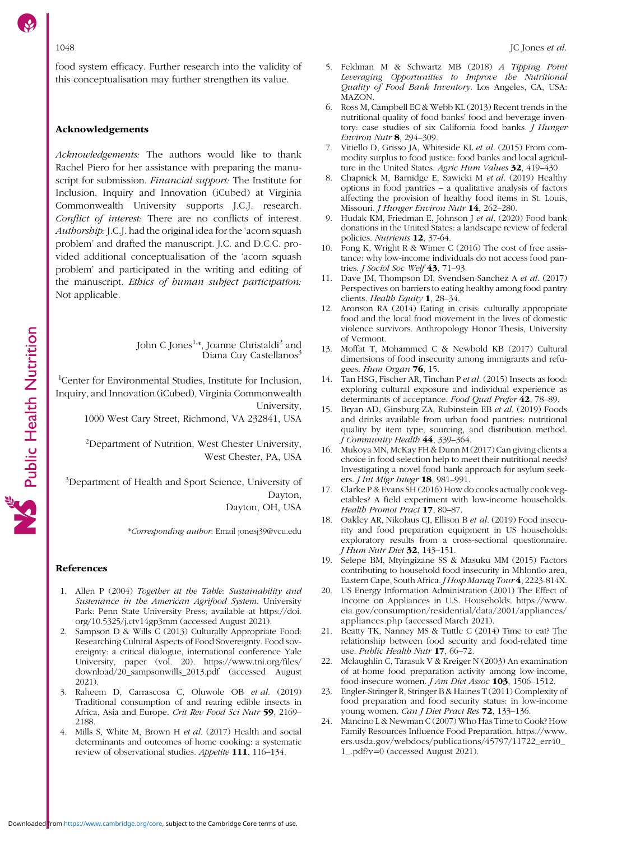<span id="page-4-0"></span>food system efficacy. Further research into the validity of this conceptualisation may further strengthen its value.

#### Acknowledgements

Acknowledgements: The authors would like to thank Rachel Piero for her assistance with preparing the manuscript for submission. Financial support: The Institute for Inclusion, Inquiry and Innovation (iCubed) at Virginia Commonwealth University supports J.C.J. research. Conflict of interest: There are no conflicts of interest. Authorship: J.C.J. had the original idea for the 'acorn squash problem' and drafted the manuscript. J.C. and D.C.C. provided additional conceptualisation of the 'acorn squash problem' and participated in the writing and editing of the manuscript. Ethics of human subject participation: Not applicable.

> John C Jones<sup>1,</sup>\*, Joanne Christaldi<sup>2</sup> and Diana Cuy Castellanos<sup>3</sup>

1 Center for Environmental Studies, Institute for Inclusion, Inquiry, and Innovation (iCubed), Virginia Commonwealth University,

1000 West Cary Street, Richmond, VA 232841, USA

<sup>2</sup>Department of Nutrition, West Chester University, West Chester, PA, USA

<sup>3</sup>Department of Health and Sport Science, University of Dayton, Dayton, OH, USA

\*Corresponding author: Email [jonesj39@vcu.edu](mailto:jonesj39@vcu.edu)

#### References

- 1. Allen P (2004) Together at the Table: Sustainability and Sustenance in the American Agrifood System. University Park: Penn State University Press; available at [https://doi.](https://doi.org/10.5325/j.ctv14gp3mm) [org/10.5325/j.ctv14gp3mm](https://doi.org/10.5325/j.ctv14gp3mm) (accessed August 2021).
- 2. Sampson D & Wills C (2013) Culturally Appropriate Food: Researching Cultural Aspects of Food Sovereignty. Food sovereignty: a critical dialogue, international conference Yale University, paper (vol. 20). [https://www.tni.org/files/](https://www.tni.org/files/download/20_sampsonwills_2013.pdf) [download/20\\_sampsonwills\\_2013.pdf](https://www.tni.org/files/download/20_sampsonwills_2013.pdf) (accessed August 2021).
- 3. Raheem D, Carrascosa C, Oluwole OB et al. (2019) Traditional consumption of and rearing edible insects in Africa, Asia and Europe. Crit Rev Food Sci Nutr 59, 2169– 2188.
- 4. Mills S, White M, Brown H et al. (2017) Health and social determinants and outcomes of home cooking: a systematic review of observational studies. Appetite 111, 116–134.
- 5. Feldman M & Schwartz MB (2018) A Tipping Point Leveraging Opportunities to Improve the Nutritional Quality of Food Bank Inventory. Los Angeles, CA, USA: MAZON.
- 6. Ross M, Campbell EC & Webb KL (2013) Recent trends in the nutritional quality of food banks' food and beverage inventory: case studies of six California food banks. J Hunger Environ Nutr 8, 294–309.
- 7. Vitiello D, Grisso JA, Whiteside KL et al. (2015) From commodity surplus to food justice: food banks and local agriculture in the United States. Agric Hum Values 32, 419-430.
- 8. Chapnick M, Barnidge E, Sawicki M et al. (2019) Healthy options in food pantries – a qualitative analysis of factors affecting the provision of healthy food items in St. Louis, Missouri. J Hunger Environ Nutr 14, 262–280.
- Hudak KM, Friedman E, Johnson J et al. (2020) Food bank donations in the United States: a landscape review of federal policies. Nutrients 12, 37-64.
- 10. Fong K, Wright R & Wimer C (2016) The cost of free assistance: why low-income individuals do not access food pantries. J Sociol Soc Welf 43, 71-93.
- 11. Dave JM, Thompson DI, Svendsen-Sanchez A et al. (2017) Perspectives on barriers to eating healthy among food pantry clients. Health Equity 1, 28–34.
- 12. Aronson RA (2014) Eating in crisis: culturally appropriate food and the local food movement in the lives of domestic violence survivors. Anthropology Honor Thesis, University of Vermont.
- 13. Moffat T, Mohammed C & Newbold KB (2017) Cultural dimensions of food insecurity among immigrants and refugees. Hum Organ 76, 15.
- 14. Tan HSG, Fischer AR, Tinchan P et al. (2015) Insects as food: exploring cultural exposure and individual experience as determinants of acceptance. Food Qual Prefer 42, 78-89.
- 15. Bryan AD, Ginsburg ZA, Rubinstein EB et al. (2019) Foods and drinks available from urban food pantries: nutritional quality by item type, sourcing, and distribution method. J Community Health 44, 339–364.
- 16. Mukoya MN, McKay FH & Dunn M (2017) Can giving clients a choice in food selection help to meet their nutritional needs? Investigating a novel food bank approach for asylum seekers. *J Int Migr Integr* **18**, 981-991.
- 17. Clarke P & Evans SH (2016) How do cooks actually cook vegetables? A field experiment with low-income households. Health Promot Pract 17, 80-87.
- 18. Oakley AR, Nikolaus CJ, Ellison B et al. (2019) Food insecurity and food preparation equipment in US households: exploratory results from a cross-sectional questionnaire. J Hum Nutr Diet 32, 143–151.
- 19. Selepe BM, Mtyingizane SS & Masuku MM (2015) Factors contributing to household food insecurity in Mhlontlo area, Eastern Cape, South Africa. *J Hosp Manag Tour* 4, 2223-814X.
- 20. US Energy Information Administration (2001) The Effect of Income on Appliances in U.S. Households. [https://www.](https://www.eia.gov/consumption/residential/data/2001/appliances/appliances.php) [eia.gov/consumption/residential/data/2001/appliances/](https://www.eia.gov/consumption/residential/data/2001/appliances/appliances.php) [appliances.php](https://www.eia.gov/consumption/residential/data/2001/appliances/appliances.php) (accessed March 2021).
- 21. Beatty TK, Nanney MS & Tuttle C (2014) Time to eat? The relationship between food security and food-related time use. Public Health Nutr 17, 66-72.
- 22. Mclaughlin C, Tarasuk V & Kreiger N (2003) An examination of at-home food preparation activity among low-income, food-insecure women. J Am Diet Assoc 103, 1506-1512.
- 23. Engler-Stringer R, Stringer B & Haines T (2011) Complexity of food preparation and food security status: in low-income young women. Can J Diet Pract Res 72, 133–136.
- 24. Mancino L & Newman C (2007) Who Has Time to Cook? How Family Resources Influence Food Preparation. [https://www.](https://www.ers.usda.gov/webdocs/publications/45797/11722_err40_1_.pdf?v=0) [ers.usda.gov/webdocs/publications/45797/11722\\_err40\\_](https://www.ers.usda.gov/webdocs/publications/45797/11722_err40_1_.pdf?v=0) [1\\_.pdf?v](https://www.ers.usda.gov/webdocs/publications/45797/11722_err40_1_.pdf?v=0)=[0](https://www.ers.usda.gov/webdocs/publications/45797/11722_err40_1_.pdf?v=0) (accessed August 2021).